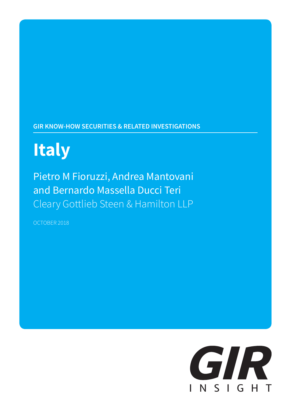# **GIR KNOW-HOW SECURITIES & RELATED INVESTIGATIONS**

# **Italy**

Pietro M Fioruzzi, Andrea Mantovani and Bernardo Massella Ducci Teri Cleary Gottlieb Steen & Hamilton LLP

OCTOBER 2018

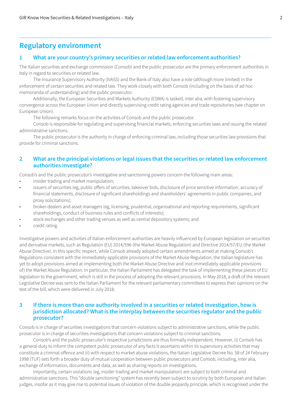# **Regulatory environment**

#### **1 What are your country's primary securities or related law enforcement authorities?**

The Italian securities and exchange commission (Consob) and the public prosecutor are the primary enforcement authorities in Italy in regard to securities or related law.

The Insurance Supervisory Authority (IVASS) and the Bank of Italy also have a role (although more limited) in the enforcement of certain securities and related law. They work closely with both Consob (including on the basis of ad hoc memoranda of understanding) and the public prosecutor.

Additionally, the European Securities and Markets Authority (ESMA) is tasked, inter alia, with fostering supervisory convergence across the European Union and directly supervising credit rating agencies and trade repositories (see chapter on European Union).

The following remarks focus on the activities of Consob and the public prosecutor.

Consob is responsible for regulating and supervising financial markets, enforcing securities laws and issuing the related administrative sanctions.

The public prosecutor is the authority in charge of enforcing criminal law, including those securities law provisions that provide for criminal sanctions.

#### **2 What are the principal violations or legal issues that the securities or related law enforcement authorities investigate?**

Consob's and the public prosecutor's investigative and sanctioning powers concern the following main areas:

- insider trading and market manipulation:
- issuers of securities (eg, public offers of securities, takeover bids, disclosure of price sensitive information, accuracy of financial statements, disclosure of significant shareholdings and shareholders' agreements in public companies, and proxy solicitations);
- broker-dealers and asset managers (eg, licensing, prudential, organisational and reporting requirements, significant shareholdings, conduct of business rules and conflicts of interests);
- stock exchanges and other trading venues as well as central depository systems; and
- credit rating.

Investigative powers and activities of Italian enforcement authorities are heavily influenced by European legislation on securities and derivative markets, such as Regulation (EU) 2014/596 (the Market Abuse Regulation) and Directive 2014/57/EU (the Market Abuse Directive). In this specific respect, while Consob already adopted certain amendments aimed at making Consob's Regulations consistent with the immediately applicable provisions of the Market Abuse Regulation, the Italian legislature has yet to adopt provisions aimed at implementing both the Market Abuse Directive and (not immediately applicable provisions of) the Market Abuse Regulation. In particular, the Italian Parliament has delegated the task of implementing these pieces of EU legislation to the government, which is still in the process of adopting the relevant provisions. In May 2018, a draft of the relevant Legislative Decree was sent to the Italian Parliament for the relevant parliamentary committees to express their opinions on the text of the bill, which were delivered in July 2018.

#### **3 If there is more than one authority involved in a securities or related investigation, how is jurisdiction allocated? What is the interplay between the securities regulator and the public prosecutor?**

Consob is in charge of securities investigations that concern violations subject to administrative sanctions, while the public prosecutor is in charge of securities investigations that concern violations subject to criminal sanctions.

Consob's and the public prosecutor's respective jurisdictions are thus formally independent. However, (i) Consob has a general duty to inform the competent public prosecutor of any facts it ascertains within its supervisory activities that may constitute a criminal offence and (ii) with respect to market abuse violations, the Italian Legislative Decree No. 58 of 24 February 1998 (TUF) sets forth a broader duty of mutual cooperation between public prosecutors and Consob, including, inter alia, exchange of information, documents and data, as well as sharing reports on investigations.

Importantly, certain violations (eg, insider trading and market manipulation) are subject to both criminal and administrative sanctions. This "double sanctioning" system has recently been subject to scrutiny by both European and Italian judges, insofar as it may give rise to potential issues of violation of the double jeopardy principle, which is recognised under the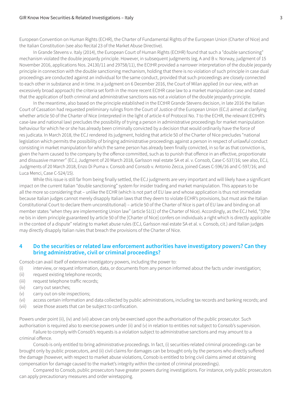European Convention on Human Rights (ECHR), the Charter of Fundamental Rights of the European Union (Charter of Nice) and the Italian Constitution (see also Recital 23 of the Market Abuse Directive).

In Grande Stevens v. Italy (2014), the European Court of Human Rights (ECtHR) found that such a "double sanctioning" mechanism violated the double jeopardy principle. However, in subsequent judgments (eg, A and B v. Norway, judgment of 15 November 2016, applications Nos. 24130/11 and 29758/11), the ECtHR provided a narrower interpretation of the double jeopardy principle in connection with the double sanctioning mechanism, holding that there is no violation of such principle in case dual proceedings are conducted against an individual for the same conduct, provided that such proceedings are closely connected to each other in substance and in time. In a judgment on 6 December 2016, the Court of Milan applied (in our view, with an excessively broad approach) the criteria set forth in the more recent ECtHR case law to a market manipulation case and stated that the application of both criminal and administrative sanctions was not a violation of the double jeopardy principle.

In the meantime, also based on the principle established in the ECtHR Grande Stevens decision, in late 2016 the Italian Court of Cassation had requested preliminary rulings from the Court of Justice of the European Union (ECJ) aimed at clarifying whether article 50 of the Charter of Nice (interpreted in the light of article 4 of Protocol No. 7 to the ECHR, the relevant ECtHR's case-law and national law) precludes the possibility of trying a person in administrative proceedings for market manipulation behaviour for which he or she has already been criminally convicted by a decision that would ordinarily have the force of res judicata. In March 2018, the ECJ rendered its judgment, holding that article 50 of the Charter of Nice precludes "national legislation which permits the possibility of bringing administrative proceedings against a person in respect of unlawful conduct consisting in market manipulation for which the same person has already been finally convicted, in so far as that conviction is, given the harm caused to the company by the offence committed, such as to punish that offence in an effective, proportionate and dissuasive manner" (ECJ, Judgment of 20 March 2018, Garlsson real estate SA et al. v. Consob, Case C-537/16; see also, ECJ, Judgments of 20 March 2018, Enzo Di Puma v. Consob and Consob v. Antonio Zecca, joined Cases C-596/16 and C-597/16; and Luca Menci, Case C-524/15).

While this issue is still far from being finally settled, the ECJ judgments are very important and will likely have a significant impact on the current Italian "double sanctioning" system for insider trading and market manipulation. This appears to be all the more so considering that – unlike the ECHR (which is not part of EU law and whose application is thus not immediate because Italian judges cannot merely disapply Italian laws that they deem to violate ECHR's provisions, but must ask the Italian Constitutional Court to declare them unconstitutional) – article 50 of the Charter of Nice is part of EU law and binding on all member states "when they are implementing Union law" (article 51(1) of the Charter of Nice). Accordingly, as the ECJ held, "[t]he ne bis in idem principle guaranteed by article 50 of the [Charter of Nice] confers on individuals a right which is directly applicable in the context of a dispute" relating to market abuse rules (ECJ, Garlsson real estate SA et al. v. Consob, cit.) and Italian judges may directly disapply Italian rules that breach the provisions of the Charter of Nice.

#### **4 Do the securities or related law enforcement authorities have investigatory powers? Can they bring administrative, civil or criminal proceedings?**

Consob can avail itself of extensive investigatory powers, including the power to:

- (i) interview, or request information, data, or documents from any person informed about the facts under investigation;
- (ii) request existing telephone records;
- (iii) request telephone traffic records;
- (iv) carry out searches;
- (v) carry out on-site inspections;
- (vi) access certain information and data collected by public administrations, including tax records and banking records; and
- (vii) seize those assets that can be subject to confiscation.

Powers under point (ii), (iv) and (vii) above can only be exercised upon the authorisation of the public prosecutor. Such authorisation is required also to exercise powers under (ii) and (v) in relation to entities not subject to Consob's supervision.

Failure to comply with Consob's requests is a violation subject to administrative sanctions and may amount to a criminal offence.

Consob is only entitled to bring administrative proceedings. In fact, (i) securities-related criminal proceedings can be brought only by public prosecutors, and (ii) civil claims for damages can be brought only by the persons who directly suffered the damage (however, with respect to market abuse violations, Consob is entitled to bring civil claims aimed at obtaining compensation for damage caused to the market's integrity within the context of criminal proceedings).

Compared to Consob, public prosecutors have greater powers during investigations. For instance, only public prosecutors can apply precautionary measures and order wiretapping.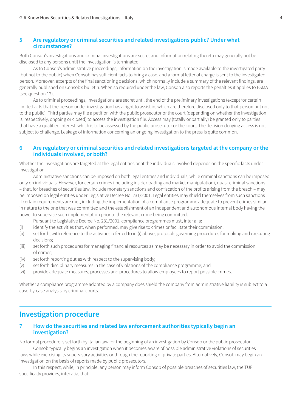#### **5 Are regulatory or criminal securities and related investigations public? Under what circumstances?**

Both Consob's investigations and criminal investigations are secret and information relating thereto may generally not be disclosed to any persons until the investigation is terminated.

As to Consob's administrative proceedings, information on the investigation is made available to the investigated party (but not to the public) when Consob has sufficient facts to bring a case, and a formal letter of charge is sent to the investigated person. Moreover, excerpts of the final sanctioning decisions, which normally include a summary of the relevant findings, are generally published on Consob's bulletin. When so required under the law, Consob also reports the penalties it applies to ESMA (see question 12).

As to criminal proceedings, investigations are secret until the end of the preliminary investigations (except for certain limited acts that the person under investigation has a right to assist in, which are therefore disclosed only to that person but not to the public). Third parties may file a petition with the public prosecutor or the court (depending on whether the investigation is, respectively, ongoing or closed) to access the investigation file. Access may (totally or partially) be granted only to parties that have a qualified interest, which is to be assessed by the public prosecutor or the court. The decision denying access is not subject to challenge. Leakage of information concerning an ongoing investigation to the press is quite common.

#### **6 Are regulatory or criminal securities and related investigations targeted at the company or the individuals involved, or both?**

Whether the investigations are targeted at the legal entities or at the individuals involved depends on the specific facts under investigation.

Administrative sanctions can be imposed on both legal entities and individuals, while criminal sanctions can be imposed only on individuals. However, for certain crimes (including insider trading and market manipulation), quasi-criminal sanctions – that, for breaches of securities law, include monetary sanctions and confiscation of the profits arising from the breach – may be imposed on legal entities under Legislative Decree No. 231/2001. Legal entities may shield themselves from such sanctions if certain requirements are met, including the implementation of a compliance programme adequate to prevent crimes similar in nature to the one that was committed and the establishment of an independent and autonomous internal body having the power to supervise such implementation prior to the relevant crime being committed.

Pursuant to Legislative Decree No. 231/2001, compliance programmes must, inter alia:

- (i) identify the activities that, when performed, may give rise to crimes or facilitate their commission;
- (ii) set forth, with reference to the activities referred to in (i) above, protocols governing procedures for making and executing decisions;
- (iii) set forth such procedures for managing financial resources as may be necessary in order to avoid the commission of crimes;
- (iv) set forth reporting duties with respect to the supervising body;
- (v) set forth disciplinary measures in the case of violations of the compliance programme; and
- (vi) provide adequate measures, processes and procedures to allow employees to report possible crimes.

Whether a compliance programme adopted by a company does shield the company from administrative liability is subject to a case-by-case analysis by criminal courts.

# **Investigation procedure**

#### **7 How do the securities and related law enforcement authorities typically begin an investigation?**

No formal procedure is set forth by Italian law for the beginning of an investigation by Consob or the public prosecutor. Consob typically begins an investigation when it becomes aware of possible administrative violations of securities

laws while exercising its supervisory activities or through the reporting of private parties. Alternatively, Consob may begin an investigation on the basis of reports made by public prosecutors.

In this respect, while, in principle, any person may inform Consob of possible breaches of securities law, the TUF specifically provides, inter alia, that: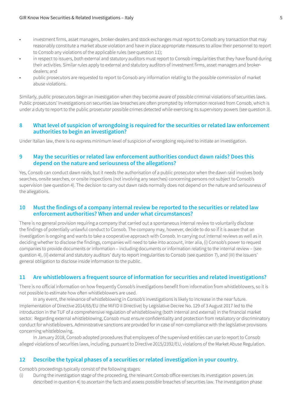- investment firms, asset managers, broker-dealers and stock exchanges must report to Consob any transaction that may reasonably constitute a market abuse violation and have in place appropriate measures to allow their personnel to report to Consob any violations of the applicable rules (see question 11);
- in respect to issuers, both external and statutory auditors must report to Consob irregularities that they have found during their activities. Similar rules apply to external and statutory auditors of investment firms, asset managers and brokerdealers; and
- public prosecutors are requested to report to Consob any information relating to the possible commission of market abuse violations.

Similarly, public prosecutors begin an investigation when they become aware of possible criminal violations of securities laws. Public prosecutors' investigations on securities law breaches are often prompted by information received from Consob, which is under a duty to report to the public prosecutor possible crimes detected while exercising its supervisory powers (see question 3).

#### **8 What level of suspicion of wrongdoing is required for the securities or related law enforcement authorities to begin an investigation?**

Under Italian law, there is no express minimum level of suspicion of wrongdoing required to initiate an investigation.

#### **9 May the securities or related law enforcement authorities conduct dawn raids? Does this depend on the nature and seriousness of the allegations?**

Yes, Consob can conduct dawn raids, but it needs the authorisation of a public prosecutor when the dawn raid involves body searches, onsite searches, or onsite inspections (not involving any searches) concerning persons not subject to Consob's supervision (see question 4). The decision to carry out dawn raids normally does not depend on the nature and seriousness of the allegations.

#### **10 Must the findings of a company internal review be reported to the securities or related law enforcement authorities? When and under what circumstances?**

There is no general provision requiring a company that carried out a spontaneous internal review to voluntarily disclose the findings of potentially unlawful conduct to Consob. The company may, however, decide to do so if it is aware that an investigation is ongoing and wants to take a cooperative approach with Consob. In carrying out internal reviews as well as in deciding whether to disclose the findings, companies will need to take into account, inter alia, (i) Consob's power to request companies to provide documents or information – including documents or information relating to the internal review – (see question 4), (ii) external and statutory auditors' duty to report irregularities to Consob (see question 7), and (iii) the issuers' general obligation to disclose inside information to the public.

#### **11 Are whistleblowers a frequent source of information for securities and related investigations?**

There is no official information on how frequently Consob's investigations benefit from information from whistleblowers, so it is not possible to estimate how often whistleblowers are used.

In any event, the relevance of whistleblowing in Consob's investigations is likely to increase in the near future. Implementation of Directive 2014/65/EU (the MiFID II Directive) by Legislative Decree No. 129 of 3 August 2017 led to the introduction in the TUF of a comprehensive regulation of whistleblowing (both internal and external) in the financial market sector. Regarding external whistleblowing, Consob must ensure confidentiality and protection from retaliatory or discriminatory conduct for whistleblowers. Administrative sanctions are provided for in case of non-compliance with the legislative provisions concerning whistleblowing.

In January 2018, Consob adopted procedures that employees of the supervised entities can use to report to Consob alleged violations of securities laws, including, pursuant to Directive 2015/2392/EU, violations of the Market Abuse Regulation.

#### **12 Describe the typical phases of a securities or related investigation in your country.**

Consob's proceedings typically consist of the following stages:

(i) During the investigation stage of the proceeding, the relevant Consob office exercises its investigation powers (as described in question 4) to ascertain the facts and assess possible breaches of securities law. The investigation phase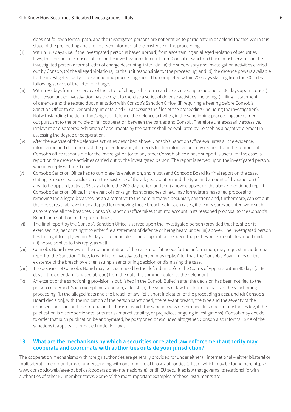does not follow a formal path, and the investigated persons are not entitled to participate in or defend themselves in this stage of the proceeding and are not even informed of the existence of the proceeding.

- (ii) Within 180 days (360 if the investigated person is based abroad) from ascertaining an alleged violation of securities laws, the competent Consob office for the investigation (different from Consob's Sanction Office) must serve upon the investigated person a formal letter of charge describing, inter alia, (a) the supervisory and investigation activities carried out by Consob, (b) the alleged violations, (c) the unit responsible for the proceeding, and (d) the defence powers available to the investigated party. The sanctioning proceeding should be completed within 200 days starting from the 30th day following service of the letter of charge.
- (iii) Within 30 days from the service of the letter of charge (this term can be extended up to additional 30 days upon request), the person under investigation has the right to exercise a series of defense activities, including: (i) filing a statement of defence and the related documentation with Consob's Sanction Office, (ii) requiring a hearing before Consob's Sanction Office to deliver oral arguments, and (iii) accessing the files of the proceeding (including the investigation). Notwithstanding the defendant's right of defence, the defence activities, in the sanctioning proceeding, are carried out pursuant to the principle of fair cooperation between the parties and Consob. Therefore unnecessarily excessive, irrelevant or disordered exhibition of documents by the parties shall be evaluated by Consob as a negative element in assessing the degree of cooperation.
- (iv) After the exercise of the defensive activities described above, Consob's Sanction Office evaluates all the evidence, information and documents of the proceeding and, if it needs further information, may request from the competent Consob's office responsible for the investigation (or to any other Consob office whose support is useful for the case) a report on the defence activities carried out by the investigated person. The report is served upon the investigated person, who may reply within 30 days.
- (v) Consob's Sanction Office has to complete its evaluation, and must send Consob's Board its final report on the case, stating its reasoned conclusion on the existence of the alleged violation and the type and amount of the sanction (if any) to be applied, at least 35 days before the 200-day period under (ii) above elapses. (In the above-mentioned report, Consob's Sanction Office, in the event of non-significant breaches of law, may formulate a reasoned proposal for removing the alleged breaches, as an alternative to the administrative pecuniary sanctions and, furthermore, can set out the measures that have to be adopted for removing those breaches. In such cases, if the measures adopted were such as to remove all the breaches, Consob's Sanction Office takes that into account in its reasoned proposal to the Consob's Board for resolution of the proceedings.)
- (vi) The final report by the Consob's Sanction Office is served upon the investigated person (provided that he, she or it exercised his, her or its right to either file a statement of defence or being heard under (iii) above). The investigated person has the right to reply within 30 days. The principle of fair cooperation between the parties and Consob described under (iii) above applies to this reply, as well.
- (vii) Consob's Board reviews all the documentation of the case and, if it needs further information, may request an additional report to the Sanction Office, to which the investigated person may reply. After that, the Consob's Board rules on the existence of the breach by either issuing a sanctioning decision or dismissing the case.
- (viii) The decision of Consob's Board may be challenged by the defendant before the Courts of Appeals within 30 days (or 60 days if the defendant is based abroad) from the date it is communicated to the defendant.
- (ix) An excerpt of the sanctioning provision is published in the Consob Bulletin after the decision has been notified to the person concerned. Such excerpt must contain, at least: (a) the sources of law that form the basis of the sanctioning proceeding, (b) the alleged facts and the breach of law, (c) a short indication of the proceeding's acts, and (d) Consob's Board decision], with the indication of the person sanctioned, the relevant breach, the type and the severity of the imposed sanction, and the criteria on the basis of which the sanction was determined. In some circumstances (eg, if the publication is disproportionate, puts at risk market stability, or prejudices ongoing investigations), Consob may decide to order that such publication be anonymised, be postponed or excluded altogether. Consob also informs ESMA of the sanctions it applies, as provided under EU laws.

#### **13 What are the mechanisms by which a securities or related law enforcement authority may cooperate and coordinate with authorities outside your jurisdiction?**

The cooperation mechanisms with foreign authorities are generally provided for under either (i) international – either bilateral or multilateral – memorandums of understanding with one or more of those authorities (a list of which may be found here http:// www.consob.it/web/area-pubblica/cooperazione-internazionale), or (ii) EU securities law that governs its relationship with authorities of other EU member states. Some of the most important examples of those instruments are: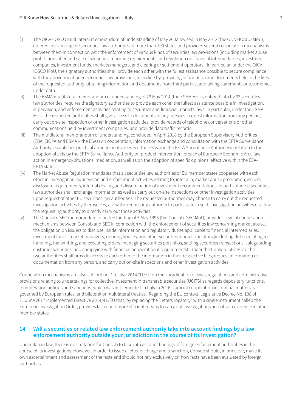- (i) The OICV–IOSCO multilateral memorandum of understanding of May 2002 revised in May 2012 (the OICV–IOSCO MoU), entered into among the securities law authorities of more than 100 states and provides several cooperation mechanisms between them in connection with the enforcement of various kinds of securities law provisions (including market abuse prohibition, offer and sale of securities, reporting requirements and regulation on financial intermediaries, investment companies, investment funds, markets managers, and clearing or settlement operators). In particular, under the OICV-IOSCO MoU, the signatory authorities shall provide each other with the fullest assistance possible to secure compliance with the above-mentioned securities law provisions, including by: providing information and documents held in the files of the requested authority, obtaining information and documents from third parties, and taking statements or testimonies under oath.
- (ii) The ESMA multilateral memorandum of understanding of 29 May 2014 (the ESMA MoU), entered into by 33 securities law authorities, requires the signatory authorities to provide each other the fullest assistance possible in investigation, supervision, and enforcement activities relating to securities and financial markets laws. In particular, under the ESMA MoU, the requested authorities shall give access to documents of any persons, request information from any person, carry out on-site inspection or other investigation activities, provide records of telephone conversations or other communications held by investment companies, and provide data traffic records.
- (iii) The multilateral memorandum of understanding, concluded in April 2018 by the European Supervisory Authorities (EBA, EIOPA and ESMA – the ESAs) on cooperation, information exchange and consultation with the EFTA Surveillance Authority, establishes practical arrangements between the ESAs and the EFTA Surveillance Authority in relation to the adoption of acts by the EFTA Surveillance Authority on product intervention, breach of European Economic Area law, action in emergency situations, mediation, as well as on the adoption of specific opinions, effective within the EEA-EFTA states.
- (iv) The Market Abuse Regulation mandates that all securities law authorities of EU member states cooperate with each other in investigation, supervision and enforcement activities relating to, inter alia, market abuse prohibition, issuers' disclosure requirements, internal dealing and dissemination of investment recommendations. In particular, EU securities law authorities shall exchange information as well as carry out on-site inspections or other investigation activities upon request of other EU securities law authorities. The requested authorities may choose to carry out the requested investigation activities by themselves, allow the requesting authority to participate in such investigation activities or allow the requesting authority to directly carry out those activities.
- (v) The Consob–SEC memorandum of understanding of 3 May 1993 (the Consob–SEC MoU) provides several cooperation mechanisms between Consob and SEC in connection with the enforcement of securities law concerning market abuse, the obligation on issuers to disclose inside information and regulatory duties applicable to financial intermediaries, investment funds, market managers, clearing houses, and other securities market operators (including duties relating to handling, transmitting, and executing orders, managing securities portfolios, settling securities transactions, safeguarding customer securities, and complying with financial or operational requirements). Under the Consob–SEC MoU, the two authorities shall provide access to each other to the information in their respective files, request information or documentation from any person, and carry out on-site inspections and other investigation activities.

Cooperation mechanisms are also set forth in Directive 2014/91/EU on the coordination of laws, regulations and administrative provisions relating to undertakings for collective investment in transferable securities (UCITS) as regards depositary functions, remuneration policies and sanctions, which was implemented in Italy in 2016. Judicial cooperation in criminal matters is governed by European rules, and bilateral or multilateral treaties. Regarding the EU context, Legislative Decree No. 108 of 21 June 2017 implemented Directive 2014/41/EU that, by replacing the "letters rogatory" with a single instrument called the European Investigation Order, provides faster and more efficient means to carry out investigations and obtain evidence in other member states.

#### **14 Will a securities or related law enforcement authority take into account findings by a law enforcement authority outside your jurisdiction in the course of its investigation?**

Under Italian law, there is no limitation for Consob to take into account findings of foreign enforcement authorities in the course of its investigations. However, in order to issue a letter of charge and a sanction, Consob should, in principle, make its own ascertainment and assessment of the facts and should not rely exclusively on how facts have been evaluated by foreign authorities.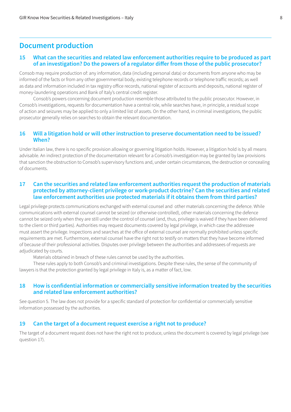# **Document production**

#### **15 What can the securities and related law enforcement authorities require to be produced as part of an investigation? Do the powers of a regulator differ from those of the public prosecutor?**

Consob may require production of: any information, data (including personal data) or documents from anyone who may be informed of the facts or from any other governmental body, existing telephone records or telephone traffic records; as well as data and information included in tax registry office records, national register of accounts and deposits, national register of money-laundering operations and Bank of Italy's central credit register.

Consob's powers concerning document production resemble those attributed to the public prosecutor. However, in Consob's investigations, requests for documentation have a central role, while searches have, in principle, a residual scope of action and seizures may be applied to only a limited list of assets. On the other hand, in criminal investigations, the public prosecutor generally relies on searches to obtain the relevant documentation.

#### **16 Will a litigation hold or will other instruction to preserve documentation need to be issued? When?**

Under Italian law, there is no specific provision allowing or governing litigation holds. However, a litigation hold is by all means advisable. An indirect protection of the documentation relevant for a Consob's investigation may be granted by law provisions that sanction the obstruction to Consob's supervisory functions and, under certain circumstances, the destruction or concealing of documents.

#### **17 Can the securities and related law enforcement authorities request the production of materials protected by attorney-client privilege or work-product doctrine? Can the securities and related law enforcement authorities use protected materials if it obtains them from third parties?**

Legal privilege protects communications exchanged with external counsel and other materials concerning the defence. While communications with external counsel cannot be seized (or otherwise controlled), other materials concerning the defence cannot be seized only when they are still under the control of counsel (and, thus, privilege is waived if they have been delivered to the client or third parties). Authorities may request documents covered by legal privilege, in which case the addressee must assert the privilege. Inspections and searches at the office of external counsel are normally prohibited unless specific requirements are met. Furthermore, external counsel have the right not to testify on matters that they have become informed of because of their professional activities. Disputes over privilege between the authorities and addressees of requests are adjudicated by courts.

Materials obtained in breach of these rules cannot be used by the authorities.

These rules apply to both Consob's and criminal investigations. Despite these rules, the sense of the community of lawyers is that the protection granted by legal privilege in Italy is, as a matter of fact, low.

#### **18 How is confidential information or commercially sensitive information treated by the securities and related law enforcement authorities?**

See question 5. The law does not provide for a specific standard of protection for confidential or commercially sensitive information possessed by the authorities.

#### **19 Can the target of a document request exercise a right not to produce?**

The target of a document request does not have the right not to produce, unless the document is covered by legal privilege (see question 17).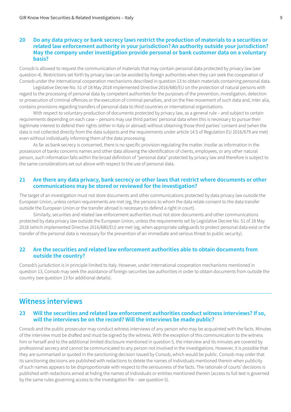#### **20 Do any data privacy or bank secrecy laws restrict the production of materials to a securities or related law enforcement authority in your jurisdiction? An authority outside your jurisdiction? May the company under investigation provide personal or bank customer data on a voluntary basis?**

Consob is allowed to request the communication of materials that may contain personal data protected by privacy law (see question 4). Restrictions set forth by privacy law can be avoided by foreign authorities when they can seek the cooperation of Consob under the international cooperation mechanisms described in question 13 to obtain materials containing personal data.

Legislative Decree No. 51 of 18 May 2018 implemented Directive 2016/680/EU on the protection of natural persons with regard to the processing of personal data by competent authorities for the purposes of the prevention, investigation, detection or prosecution of criminal offences or the execution of criminal penalties, and on the free movement of such data and, inter alia, contains provisions regarding transfers of personal data to third countries or international organisations.

With respect to voluntary production of documents protected by privacy law, as a general rule – and subject to certain requirements depending on each case – persons may use third parties' personal data when this is necessary to pursue their legitimate interest to defend their rights (either in Italy or abroad) without obtaining those third parties' consent and (when the data is not collected directly from the data subjects and the requirements under article 14.5 of Regulation EU 2016/679 are met) even without individually informing them of the data processing.

As far as bank secrecy is concerned, there is no specific provision regulating the matter. Insofar as information in the possession of banks concerns names and other data allowing the identification of clients, employees, or any other natural person, such information falls within the broad definition of "personal data" protected by privacy law and therefore is subject to the same considerations set out above with respect to the use of personal data.

#### **21 Are there any data privacy, bank secrecy or other laws that restrict where documents or other communications may be stored or reviewed for the investigation?**

The target of an investigation must not store documents and other communications protected by data privacy law outside the European Union, unless certain requirements are met (eg, the persons to whom the data relate consent to the data transfer outside the European Union or the transfer abroad is necessary to defend a right in court).

Similarly, securities and related law enforcement authorities must not store documents and other communications protected by data privacy law outside the European Union, unless the requirements set by Legislative Decree No. 51 of 18 May 2018 (which implemented Directive 2016/680/EU) are met (eg, when appropriate safeguards to protect personal data exist or the transfer of the personal data is necessary for the prevention of an immediate and serious threat to public security).

#### **22 Are the securities and related law enforcement authorities able to obtain documents from outside the country?**

Consob's jurisdiction is in principle limited to Italy. However, under international cooperation mechanisms mentioned in question 13, Consob may seek the assistance of foreign securities law authorities in order to obtain documents from outside the country (see question 13 for additional details).

# **Witness interviews**

#### **23 Will the securities and related law enforcement authorities conduct witness interviews? If so, will the interviews be on the record? Will the interviews be made public?**

Consob and the public prosecutor may conduct witness interviews of any person who may be acquainted with the facts. Minutes of the interview must be drafted and must be signed by the witness. With the exception of this communication to the witness him or herself and to the additional limited disclosure mentioned in question 5, the interview and its minutes are covered by professional secrecy and cannot be communicated to any person not involved in the investigations. However, it is possible that they are summarised or quoted in the sanctioning decision issued by Consob, which would be public. Consob may order that its sanctioning decisions are published with redactions to delete the names of individuals mentioned therein when publicity of such names appears to be disproportionate with respect to the seriousness of the facts. The rationale of courts' decisions is published with redactions aimed at hiding the names of individuals or entities mentioned therein (access to full text is governed by the same rules governing access to the investigation file – see question 5).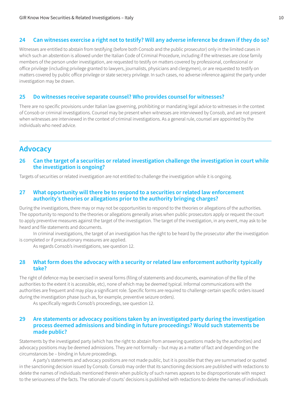#### **24 Can witnesses exercise a right not to testify? Will any adverse inference be drawn if they do so?**

Witnesses are entitled to abstain from testifying (before both Consob and the public prosecutor) only in the limited cases in which such an abstention is allowed under the Italian Code of Criminal Procedure, including if the witnesses are close family members of the person under investigation, are requested to testify on matters covered by professional, confessional or office privilege (including privilege granted to lawyers, journalists, physicians and clergymen), or are requested to testify on matters covered by public office privilege or state secrecy privilege. In such cases, no adverse inference against the party under investigation may be drawn.

#### **25 Do witnesses receive separate counsel? Who provides counsel for witnesses?**

There are no specific provisions under Italian law governing, prohibiting or mandating legal advice to witnesses in the context of Consob or criminal investigations. Counsel may be present when witnesses are interviewed by Consob, and are not present when witnesses are interviewed in the context of criminal investigations. As a general rule, counsel are appointed by the individuals who need advice.

# **Advocacy**

#### **26 Can the target of a securities or related investigation challenge the investigation in court while the investigation is ongoing?**

Targets of securities or related investigation are not entitled to challenge the investigation while it is ongoing.

#### **27 What opportunity will there be to respond to a securities or related law enforcement authority's theories or allegations prior to the authority bringing charges?**

During the investigations, there may or may not be opportunities to respond to the theories or allegations of the authorities. The opportunity to respond to the theories or allegations generally arises when public prosecutors apply or request the court to apply preventive measures against the target of the investigation. The target of the investigation, in any event, may ask to be heard and file statements and documents.

In criminal investigations, the target of an investigation has the right to be heard by the prosecutor after the investigation is completed or if precautionary measures are applied.

As regards Consob's investigations, see question 12.

#### **28 What form does the advocacy with a security or related law enforcement authority typically take?**

The right of defence may be exercised in several forms (filing of statements and documents, examination of the file of the authorities to the extent it is accessible, etc), none of which may be deemed typical. Informal communications with the authorities are frequent and may play a significant role. Specific forms are required to challenge certain specific orders issued during the investigation phase (such as, for example, preventive seizure orders).

As specifically regards Consob's proceedings, see question 12.

#### **29 Are statements or advocacy positions taken by an investigated party during the investigation process deemed admissions and binding in future proceedings? Would such statements be made public?**

Statements by the investigated party (which has the right to abstain from answering questions made by the authorities) and advocacy positions may be deemed admissions. They are not formally – but may as a matter of fact and depending on the circumstances be – binding in future proceedings.

A party's statements and advocacy positions are not made public, but it is possible that they are summarised or quoted in the sanctioning decision issued by Consob. Consob may order that its sanctioning decisions are published with redactions to delete the names of individuals mentioned therein when publicity of such names appears to be disproportionate with respect to the seriousness of the facts. The rationale of courts' decisions is published with redactions to delete the names of individuals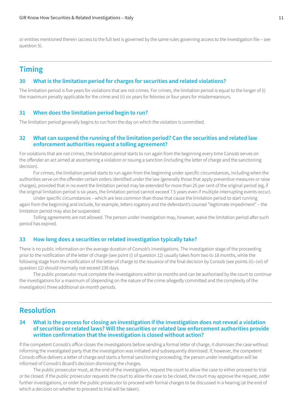or entities mentioned therein (access to the full text is governed by the same rules governing access to the investigation file – see question 5).

# **Timing**

#### **30 What is the limitation period for charges for securities and related violations?**

The limitation period is five years for violations that are not crimes. For crimes, the limitation period is equal to the longer of (i) the maximum penalty applicable for the crime and (ii) six years for felonies or four years for misdemeanours.

#### **31 When does the limitation period begin to run?**

The limitation period generally begins to run from the day on which the violation is committed.

#### **32 What can suspend the running of the limitation period? Can the securities and related law enforcement authorities request a tolling agreement?**

For violations that are not crimes, the limitation period starts to run again from the beginning every time Consob serves on the offender an act aimed at ascertaining a violation or issuing a sanction (including the letter of charge and the sanctioning decision).

For crimes, the limitation period starts to run again from the beginning under specific circumstances, including when the authorities serve on the offender certain orders identified under the law (generally those that apply preventive measures or raise charges), provided that in no event the limitation period may be extended for more than 25 per cent of the original period (eg, if the original limitation period is six years, the limitation period cannot exceed 7.5 years even if multiple interrupting events occur).

Under specific circumstances – which are less common than those that cause the limitation period to start running again from the beginning and include, for example, letters rogatory and the defendant's counsel "legitimate impediment" – the limitation period may also be suspended.

Tolling agreements are not allowed. The person under investigation may, however, waive the limitation period after such period has expired.

#### **33 How long does a securities or related investigation typically take?**

There is no public information on the average duration of Consob's investigations. The investigation stage of the proceeding prior to the notification of the letter of charge (see point (i) of question 12) usually takes from two to 18 months, while the following stage from the notification of the letter of charge to the issuance of the final decision by Consob (see points (ii)–(vii) of question 12) should inormally not exceed 230 days.

The public prosecutor must complete the investigations within six months and can be authorised by the court to continue the investigations for a maximum of (depending on the nature of the crime allegedly committed and the complexity of the investigation) three additional six-month periods.

# **Resolution**

#### **34 What is the process for closing an investigation if the investigation does not reveal a violation of securities or related laws? Will the securities or related law enforcement authorities provide written confirmation that the investigation is closed without action?**

If the competent Consob's office closes the investigations before sending a formal letter of charge, it dismisses the case without informing the investigated party that the investigation was initiated and subsequently dismissed. If, however, the competent Consob office delivers a letter of charge and starts a formal sanctioning proceeding, the person under investigation will be informed of Consob's Board's decision dismissing the charges.

The public prosecutor must, at the end of the investigation, request the court to allow the case to either proceed to trial or be closed. If the public prosecutor requests the court to allow the case to be closed, the court may approve the request, order further investigations, or order the public prosecutor to proceed with formal charges to be discussed in a hearing (at the end of which a decision on whether to proceed to trial will be taken).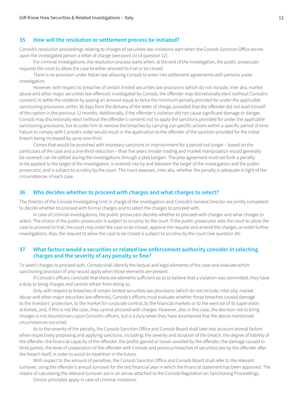#### **35 How will the resolution or settlement process be initiated?**

Consob's resolution proceedings relating to charges of securities law violations start when the Consob Sanction Office serves upon the investigated person a letter of charge (see point (ii) of question 12).

For criminal investigations, the resolution process starts when, at the end of the investigation, the public prosecutor requests the court to allow the case to either proceed to trial or be closed.

There is no provision under Italian law allowing Consob to enter into settlement agreements with persons under investigation.

However, with respect to breaches of certain limited securities law provisions (which do not include, inter alia, market abuse and other major securities law offences) investigated by Consob, the offender may discretionally elect (without Consob's consent) to settle the violation by paying an amount equal to twice the minimum penalty provided for under the applicable sanctioning provisions, within 30 days from the delivery of the letter of charge, provided that the offender did not avail himself of this option in the previous 12 months. Additionally, if the offender's violation did not cause significant damage or danger, Consob may discretionally elect (without the offender's consent) not to apply the sanctions provided for under the applicable sanctioning provisions, but to order him to remove the breaches by carrying out specific actions within a specific period of time. Failure to comply with Consob's order would result in the application to the offender of the sanction provided for the initial breach being increased by up to one-third.

Crimes that would be punished with monetary sanctions or imprisonment for a period not longer – based on the particulars of the case and a one-third reduction – than five years (insider trading and market manipulation would generally be covered) can be settled during the investigations through a plea bargain. The plea agreement must set forth a penalty to be applied to the target of the investigation, is entered into by and between the target of the investigation and the public prosecutor, and is subject to scrutiny by the court. The court assesses, inter alia, whether the penalty is adequate in light of the circumstances of each case.

#### **36 Who decides whether to proceed with charges and what charges to select?**

The Director of the Consob Investigating Unit in charge of the investigation and Consob's General Director are jointly competent to decide whether to proceed with formal charges and to select the charges to proceed with.

In case of criminal investigations, the public prosecutor decides whether to proceed with charges and what charges to select. The choice of the public prosecutor is subject to scrutiny by the court. If the public prosecutor asks the court to allow the case to proceed to trial, the court may order the case to be closed, approve the request and amend the charges, or order further investigations. Also, the request to allow the case to be closed is subject to scrutiny by the court (see question 34).

#### **37 What factors would a securities or related law enforcement authority consider in selecting charges and the severity of any penalty or fine?**

To select charges to proceed with, Consob shall identify the factual and legal elements of the case and evaluate which sanctioning provision (if any) would apply when those elements are present.

If Consob's officers conclude that there are elements sufficient so as to believe that a violation was committed, they have a duty to bring charges and cannot refrain from doing so.

Only with respect to breaches of certain limited securities law provisions (which do not include, inter alia, market abuse and other major securities law offences), Consob's officers must evaluate whether those breaches caused damage to the investors' protection, to the market for corporate control, to the financial markets or to the exercise of its supervision activities, and, if this is not the case, they cannot proceed with charges. However, also in this case, the decision not to bring charges is not discretionary upon Consob's officers, but is a duty when they have ascertained that the above-mentioned circumstances occurred.

As to the severity of the penalty, the Consob Sanction Office and Consob Board shall take into account several factors when respectively proposing and applying sanctions, including: the severity and duration of the breach, the degree of liability of the offender, the financial capacity of the offender, the profits gained or losses avoided by the offender, the damage caused to third parties, the level of cooperation of the offender with Consob and previous breaches of securities law by the offender after the breach itself, in order to avoid its repetition in the future.

With respect to the amount of penalties, the Consob Sanction Office and Consob Board shall refer to the relevant turnover, using the offender's annual turnover for the last financial year in which the financial statement has been approved. The means of calculating the relevant turnover are in an annex attached to the Consob Regulation on Sanctioning Proceedings.

Similar principles apply in case of criminal violations.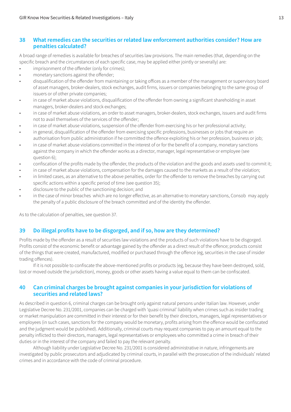#### **38 What remedies can the securities or related law enforcement authorities consider? How are penalties calculated?**

A broad range of remedies is available for breaches of securities law provisions. The main remedies (that, depending on the specific breach and the circumstances of each specific case, may be applied either jointly or severally) are:

- imprisonment of the offender (only for crimes);
- monetary sanctions against the offender;
- disqualification of the offender from maintaining or taking offices as a member of the management or supervisory board of asset managers, broker-dealers, stock exchanges, audit firms, issuers or companies belonging to the same group of issuers or of other private companies;
- in case of market abuse violations, disqualification of the offender from owning a significant shareholding in asset managers, broker-dealers and stock exchanges;
- in case of market abuse violations, an order to asset managers, broker-dealers, stock exchanges, issuers and audit firms not to avail themselves of the services of the offender;
- in case of market abuse violations, suspension of the offender from exercising his or her professional activity;
- in general, disqualification of the offender from exercising specific professions, businesses or jobs that require an authorisation from public administration if he committed the offence exploiting his or her profession, business or job;
- in case of market abuse violations committed in the interest of or for the benefit of a company, monetary sanctions against the company in which the offender works as a director, manager, legal representative or employee (see question 6);
- confiscation of the profits made by the offender, the products of the violation and the goods and assets used to commit it;
- in case of market abuse violations, compensation for the damages caused to the markets as a result of the violation;
- in limited cases, as an alternative to the above penalties, order for the offender to remove the breaches by carrying out specific actions within a specific period of time (see question 35);
- disclosure to the public of the sanctioning decision; and
- in the case of minor breaches which are no longer effective, as an alternative to monetary sanctions, Consob may apply the penalty of a public disclosure of the breach committed and of the identity the offender.

As to the calculation of penalties, see question 37.

#### **39 Do illegal profits have to be disgorged, and if so, how are they determined?**

Profits made by the offender as a result of securities law violations and the products of such violations have to be disgorged. Profits consist of the economic benefit or advantage gained by the offender as a direct result of the offence; products consist of the things that were created, manufactured, modified or purchased through the offence (eg, securities in the case of insider trading offences).

If it is not possible to confiscate the above-mentioned profits or products (eg, because they have been destroyed, sold, lost or moved outside the jurisdiction), money, goods or other assets having a value equal to them can be confiscated.

#### **40 Can criminal charges be brought against companies in your jurisdiction for violations of securities and related laws?**

As described in question 6, criminal charges can be brought only against natural persons under Italian law. However, under Legislative Decree No. 231/2001, companies can be charged with 'quasi criminal' liability when crimes such as insider trading or market manipulation are committed in their interest or for their benefit by their directors, managers, legal representatives or employees (in such cases, sanctions for the company would be monetary, profits arising from the offence would be confiscated and the judgment would be published). Additionally, criminal courts may request companies to pay an amount equal to the penalty inflicted to their directors, managers, legal representatives or employees who committed a crime in breach of their duties or in the interest of the company and failed to pay the relevant penalty.

Although liability under Legislative Decree No. 231/2001 is considered administrative in nature, infringements are investigated by public prosecutors and adjudicated by criminal courts, in parallel with the prosecution of the individuals' related crimes and in accordance with the code of criminal procedure.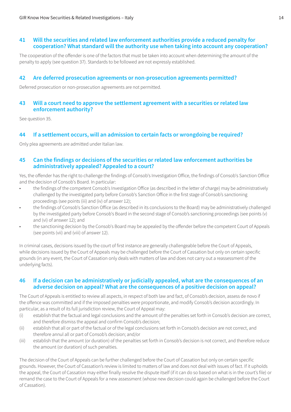#### **41 Will the securities and related law enforcement authorities provide a reduced penalty for cooperation? What standard will the authority use when taking into account any cooperation?**

The cooperation of the offender is one of the factors that must be taken into account when determining the amount of the penalty to apply (see question 37). Standards to be followed are not expressly established.

#### **42 Are deferred prosecution agreements or non-prosecution agreements permitted?**

Deferred prosecution or non-prosecution agreements are not permitted.

#### **43 Will a court need to approve the settlement agreement with a securities or related law enforcement authority?**

See question 35.

#### **44 If a settlement occurs, will an admission to certain facts or wrongdoing be required?**

Only plea agreements are admitted under Italian law.

#### **45 Can the findings or decisions of the securities or related law enforcement authorities be administratively appealed? Appealed to a court?**

Yes, the offender has the right to challenge the findings of Consob's Investigation Office, the findings of Consob's Sanction Office and the decision of Consob's Board. In particular:

- the findings of the competent Consob's Investigation Office (as described in the letter of charge) may be administratively challenged by the investigated party before Consob's Sanction Office in the first stage of Consob's sanctioning proceedings (see points (iii) and (iv) of answer 12);
- the findings of Consob's Sanction Office (as described in its conclusions to the Board) may be administratively challenged by the investigated party before Consob's Board in the second stage of Consob's sanctioning proceedings (see points (v) and (vi) of answer 12); and
- the sanctioning decision by the Consob's Board may be appealed by the offender before the competent Court of Appeals (see points (vii) and (viii) of answer 12).

In criminal cases, decisions issued by the court of first instance are generally challengeable before the Court of Appeals, while decisions issued by the Court of Appeals may be challenged before the Court of Cassation but only on certain specific grounds (in any event, the Court of Cassation only deals with matters of law and does not carry out a reassessment of the underlying facts).

#### **46 If a decision can be administratively or judicially appealed, what are the consequences of an adverse decision on appeal? What are the consequences of a positive decision on appeal?**

The Court of Appeals is entitled to review all aspects, in respect of both law and fact, of Consob's decision, assess de novo if the offence was committed and if the imposed penalties were proportionate, and modify Consob's decision accordingly. In particular, as a result of its full jurisdiction review, the Court of Appeal may:

- (i) establish that the factual and legal conclusions and the amount of the penalties set forth in Consob's decision are correct, and therefore dismiss the appeal and confirm Consob's decision;
- (ii) establish that all or part of the factual or of the legal conclusions set forth in Consob's decision are not correct, and therefore annul all or part of Consob's decision; and/or
- (iii) establish that the amount (or duration) of the penalties set forth in Consob's decision is not correct, and therefore reduce the amount (or duration) of such penalties.

The decision of the Court of Appeals can be further challenged before the Court of Cassation but only on certain specific grounds. However, the Court of Cassation's review is limited to matters of law and does not deal with issues of fact. If it upholds the appeal, the Court of Cassation may either finally resolve the dispute itself (if it can do so based on what is in the court's file) or remand the case to the Court of Appeals for a new assessment (whose new decision could again be challenged before the Court of Cassation).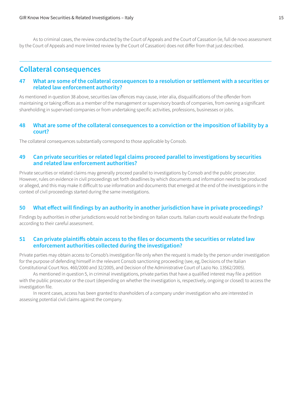As to criminal cases, the review conducted by the Court of Appeals and the Court of Cassation (ie, full de novo assessment by the Court of Appeals and more limited review by the Court of Cassation) does not differ from that just described.

# **Collateral consequences**

#### **47 What are some of the collateral consequences to a resolution or settlement with a securities or related law enforcement authority?**

As mentioned in question 38 above, securities law offences may cause, inter alia, disqualifications of the offender from maintaining or taking offices as a member of the management or supervisory boards of companies, from owning a significant shareholding in supervised companies or from undertaking specific activities, professions, businesses or jobs.

#### **48 What are some of the collateral consequences to a conviction or the imposition of liability by a court?**

The collateral consequences substantially correspond to those applicable by Consob.

#### **49 Can private securities or related legal claims proceed parallel to investigations by securities and related law enforcement authorities?**

Private securities or related claims may generally proceed parallel to investigations by Consob and the public prosecutor. However, rules on evidence in civil proceedings set forth deadlines by which documents and information need to be produced or alleged, and this may make it difficult to use information and documents that emerged at the end of the investigations in the context of civil proceedings started during the same investigations.

#### **50 What effect will findings by an authority in another jurisdiction have in private proceedings?**

Findings by authorities in other jurisdictions would not be binding on Italian courts. Italian courts would evaluate the findings according to their careful assessment.

#### **51 Can private plaintiffs obtain access to the files or documents the securities or related law enforcement authorities collected during the investigation?**

Private parties may obtain access to Consob's investigation file only when the request is made by the person under investigation for the purpose of defending himself in the relevant Consob sanctioning proceeding (see, eg, Decisions of the Italian Constitutional Court Nos. 460/2000 and 32/2005, and Decision of the Administrative Court of Lazio No. 13562/2005).

As mentioned in question 5, in criminal investigations, private parties that have a qualified interest may file a petition with the public prosecutor or the court (depending on whether the investigation is, respectively, ongoing or closed) to access the investigation file.

In recent cases, access has been granted to shareholders of a company under investigation who are interested in assessing potential civil claims against the company.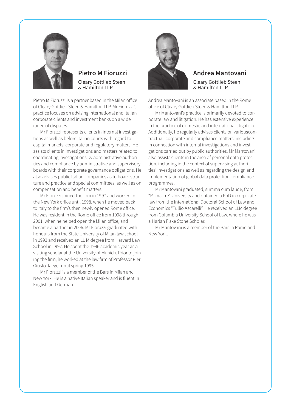

### **Pietro M Fioruzzi** Cleary Gottlieb Steen & Hamilton LLP

Pietro M Fioruzzi is a partner based in the Milan office of Cleary Gottlieb Steen & Hamilton LLP. Mr Fioruzzi's practice focuses on advising international and Italian corporate clients and investment banks on a wide range of disputes.

Mr Fioruzzi represents clients in internal investigations as well as before Italian courts with regard to capital markets, corporate and regulatory matters. He assists clients in investigations and matters related to coordinating investigations by administrative authorities and compliance by administrative and supervisory boards with their corporate governance obligations. He also advises public Italian companies as to board structure and practice and special committees, as well as on compensation and benefit matters.

Mr Fioruzzi joined the firm in 1997 and worked in the New York office until 1998, when he moved back to Italy to the firm's then newly opened Rome office. He was resident in the Rome office from 1998 through 2001, when he helped open the Milan office, and became a partner in 2006. Mr Fioruzzi graduated with honours from the State University of Milan law school in 1993 and received an LL M degree from Harvard Law School in 1997. He spent the 1996 academic year as a visiting scholar at the University of Munich. Prior to joining the firm, he worked at the law firm of Professor Pier Giusto Jaeger until spring 1995.

Mr Fioruzzi is a member of the Bars in Milan and New York. He is a native Italian speaker and is fluent in English and German.



#### **Andrea Mantovani** Cleary Gottlieb Steen & Hamilton LLP

Andrea Mantovani is an associate based in the Rome office of Cleary Gottlieb Steen & Hamilton LLP.

Mr Mantovani's practice is primarily devoted to corporate law and litigation. He has extensive experience in the practice of domestic and international litigation. Additionally, he regularly advises clients on variouscontractual, corporate and compliance matters, including in connection with internal investigations and investigations carried out by public authorities. Mr Mantovani also assists clients in the area of personal data protection, including in the context of supervising authorities' investigations as well as regarding the design and implementation of global data protection compliance programmes.

Mr Mantovani graduated, summa cum laude, from "Roma Tre" University and obtained a PhD in corporate law from the International Doctoral School of Law and Economics "Tullio Ascarelli". He received an LLM degree from Columbia University School of Law, where he was a Harlan Fiske Stone Scholar.

Mr Mantovani is a member of the Bars in Rome and New York.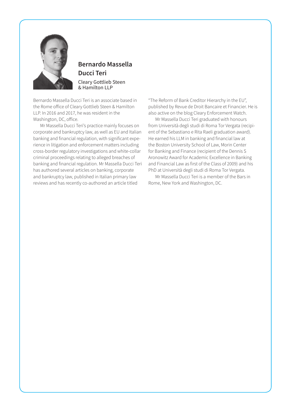

# **Bernardo Massella Ducci Teri** Cleary Gottlieb Steen & Hamilton LLP

Bernardo Massella Ducci Teri is an associate based in the Rome office of Cleary Gottlieb Steen & Hamilton LLP. In 2016 and 2017, he was resident in the Washington, DC, office.

Mr Massella Ducci Teri's practice mainly focuses on corporate and bankruptcy law, as well as EU and Italian banking and financial regulation, with significant experience in litigation and enforcement matters including cross-border regulatory investigations and white-collar criminal proceedings relating to alleged breaches of banking and financial regulation. Mr Massella Ducci Teri has authored several articles on banking, corporate and bankruptcy law, published in Italian primary law reviews and has recently co-authored an article titled

"The Reform of Bank Creditor Hierarchy in the EU", published by Revue de Droit Bancaire et Financier. He is also active on the blog Cleary Enforcement Watch.

Mr Massella Ducci Teri graduated with honours from Università degli studi di Roma Tor Vergata (recipient of the Sebastiano e Rita Raeli graduation award). He earned his LLM in banking and financial law at the Boston University School of Law, Morin Center for Banking and Finance (recipient of the Dennis S Aronowitz Award for Academic Excellence in Banking and Financial Law as first of the Class of 2009) and his PhD at Università degli studi di Roma Tor Vergata.

Mr Massella Ducci Teri is a member of the Bars in Rome, New York and Washington, DC.